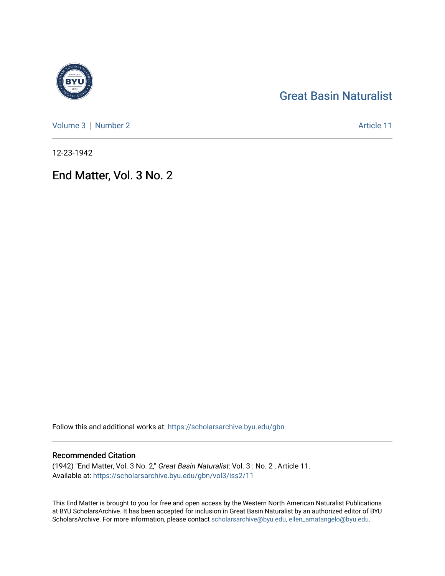# [Great Basin Naturalist](https://scholarsarchive.byu.edu/gbn)

[Volume 3](https://scholarsarchive.byu.edu/gbn/vol3) | [Number 2](https://scholarsarchive.byu.edu/gbn/vol3/iss2) Article 11

12-23-1942

## End Matter, Vol. 3 No. 2

Follow this and additional works at: [https://scholarsarchive.byu.edu/gbn](https://scholarsarchive.byu.edu/gbn?utm_source=scholarsarchive.byu.edu%2Fgbn%2Fvol3%2Fiss2%2F11&utm_medium=PDF&utm_campaign=PDFCoverPages) 

## Recommended Citation

(1942) "End Matter, Vol. 3 No. 2," Great Basin Naturalist: Vol. 3 : No. 2 , Article 11. Available at: [https://scholarsarchive.byu.edu/gbn/vol3/iss2/11](https://scholarsarchive.byu.edu/gbn/vol3/iss2/11?utm_source=scholarsarchive.byu.edu%2Fgbn%2Fvol3%2Fiss2%2F11&utm_medium=PDF&utm_campaign=PDFCoverPages)

This End Matter is brought to you for free and open access by the Western North American Naturalist Publications at BYU ScholarsArchive. It has been accepted for inclusion in Great Basin Naturalist by an authorized editor of BYU ScholarsArchive. For more information, please contact [scholarsarchive@byu.edu, ellen\\_amatangelo@byu.edu.](mailto:scholarsarchive@byu.edu,%20ellen_amatangelo@byu.edu)